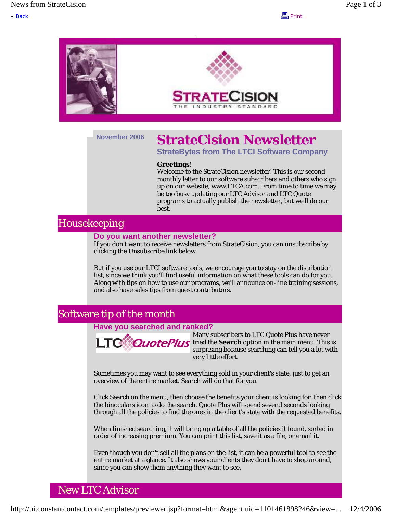« <u>Back</u> Print



# **November 2006 StrateCision Newsletter**

**StrateBytes from The LTCI Software Company**

#### **Greetings!**

Welcome to the StrateCision newsletter! This is our second monthly letter to our software subscribers and others who sign up on our website, www.LTCA.com. From time to time we may be too busy updating our LTC Advisor and LTC Quote programs to actually publish the newsletter, but we'll do our best.

## Housekeeping

### **Do you want another newsletter?**

If you don't want to receive newsletters from StrateCision, you can unsubscribe by clicking the Unsubscribe link below.

But if you use our LTCI software tools, we encourage you to stay on the distribution list, since we think you'll find useful information on what these tools can do for you. Along with tips on how to use our programs, we'll announce on-line training sessions, and also have sales tips from guest contributors.

## Software tip of the month

#### **Have you searched and ranked?**



Many subscribers to LTC Quote Plus have never **QuotePlus** tried the **Search** option in the main menu. This is surprising because searching can tell you a lot with very little effort.

Sometimes you may want to see everything sold in your client's state, just to get an overview of the entire market. Search will do that for you.

Click Search on the menu, then choose the benefits your client is looking for, then click the binoculars icon to do the search. Quote Plus will spend several seconds looking through all the policies to find the ones in the client's state with the requested benefits.

When finished searching, it will bring up a table of all the policies it found, sorted in order of increasing premium. You can print this list, save it as a file, or email it.

Even though you don't sell all the plans on the list, it can be a powerful tool to see the entire market at a glance. It also shows your clients they don't have to shop around, since you can show them anything they want to see.

## New LTC Advisor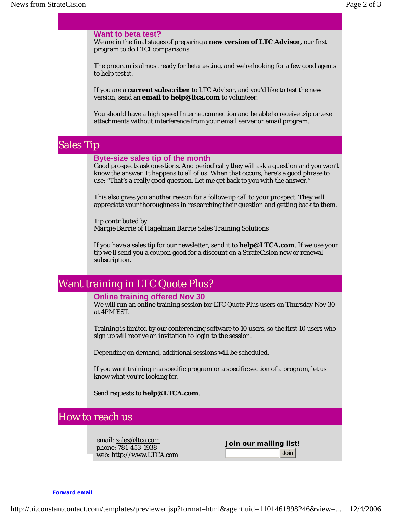#### **Want to beta test?**

We are in the final stages of preparing a **new version of LTC Advisor**, our first program to do LTCI comparisons.

The program is almost ready for beta testing, and we're looking for a few good agents to help test it.

If you are a **current subscriber** to LTC Advisor, and you'd like to test the new version, send an **email to help@ltca.com** to volunteer.

You should have a high speed Internet connection and be able to receive .zip or .exe attachments without interference from your email server or email program.

## Sales Tip

#### **Byte-size sales tip of the month**

Good prospects ask questions. And periodically they will ask a question and you won't know the answer. It happens to all of us. When that occurs, here's a good phrase to use: "That's a really good question. Let me get back to you with the answer."

This also gives you another reason for a follow-up call to your prospect. They will appreciate your thoroughness in researching their question and getting back to them.

Tip contributed by: *Margie Barrie of Hagelman Barrie Sales Training Solutions*

If you have a sales tip for our newsletter, send it to **help@LTCA.com**. If we use your tip we'll send you a coupon good for a discount on a StrateCision new or renewal subscription.

## Want training in LTC Quote Plus?

#### **Online training offered Nov 30**

We will run an online training session for LTC Quote Plus users on Thursday Nov 30 at 4PM EST.

Training is limited by our conferencing software to 10 users, so the first 10 users who sign up will receive an invitation to login to the session.

Depending on demand, additional sessions will be scheduled.

If you want training in a specific program or a specific section of a program, let us know what you're looking for.

Send requests to **help@LTCA.com**.

## How to reach us

email: sales@ltca.com phone: 781-453-1938 web: http://www.LTCA.com

**Join our mailing list!**  Join

**Forward email**